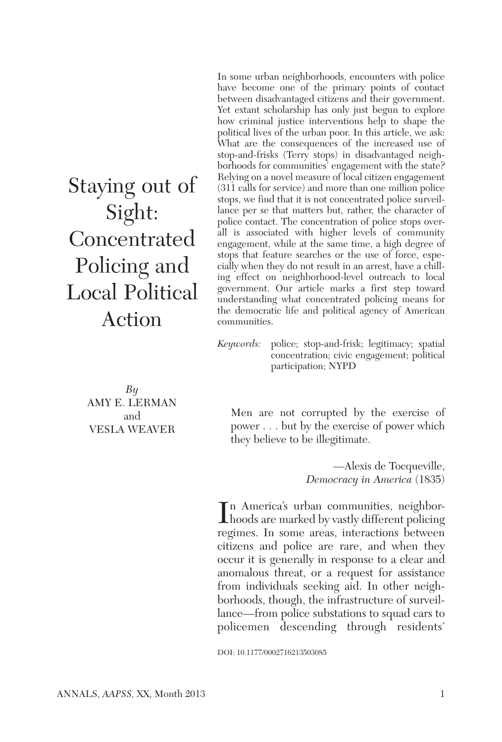Staying out of Sight: Concentrated Policing and Local Political Action

In some urban neighborhoods, encounters with police have become one of the primary points of contact between disadvantaged citizens and their government. Yet extant scholarship has only just begun to explore how criminal justice interventions help to shape the political lives of the urban poor. In this article, we ask: What are the consequences of the increased use of stop-and-frisks (Terry stops) in disadvantaged neighborhoods for communities' engagement with the state? Relying on a novel measure of local citizen engagement (311 calls for service) and more than one million police stops, we find that it is not concentrated police surveillance per se that matters but, rather, the character of police contact. The concentration of police stops overall is associated with higher levels of community engagement, while at the same time, a high degree of stops that feature searches or the use of force, especially when they do not result in an arrest, have a chilling effect on neighborhood-level outreach to local government. Our article marks a first step toward understanding what concentrated policing means for the democratic life and political agency of American communities.

*Keywords:* police; stop-and-frisk; legitimacy; spatial concentration; civic engagement; political participation; NYPD

*By* Amy E. Lerman and Vesla Weaver

Men are not corrupted by the exercise of power . . . but by the exercise of power which they believe to be illegitimate.

> —Alexis de Tocqueville, *Democracy in America* (1835)

In America's urban communities, neighbor-<br>hoods are marked by vastly different policing hoods are marked by vastly different policing regimes. In some areas, interactions between citizens and police are rare, and when they occur it is generally in response to a clear and anomalous threat, or a request for assistance from individuals seeking aid. In other neighborhoods, though, the infrastructure of surveillance—from police substations to squad cars to policemen descending through residents'

DOI: 10.1177/0002716213503085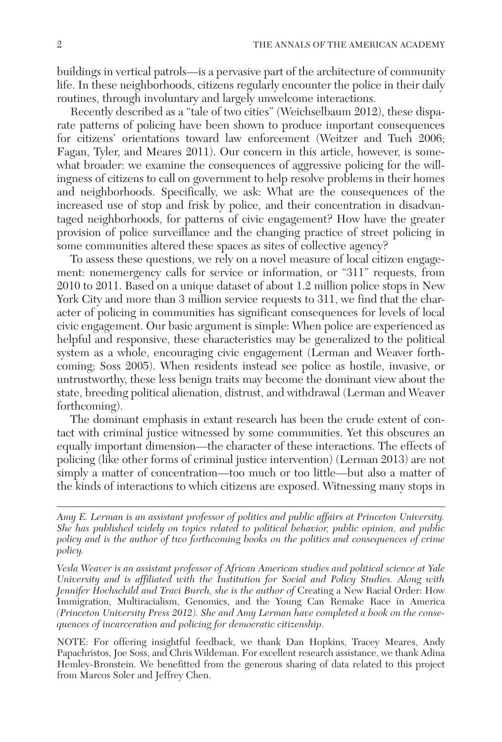buildings in vertical patrols—is a pervasive part of the architecture of community life. In these neighborhoods, citizens regularly encounter the police in their daily routines, through involuntary and largely unwelcome interactions.

Recently described as a "tale of two cities" (Weichselbaum 2012), these disparate patterns of policing have been shown to produce important consequences for citizens' orientations toward law enforcement (Weitzer and Tuch 2006; Fagan, Tyler, and Meares 2011). Our concern in this article, however, is somewhat broader: we examine the consequences of aggressive policing for the willingness of citizens to call on government to help resolve problems in their homes and neighborhoods. Specifically, we ask: What are the consequences of the increased use of stop and frisk by police, and their concentration in disadvantaged neighborhoods, for patterns of civic engagement? How have the greater provision of police surveillance and the changing practice of street policing in some communities altered these spaces as sites of collective agency?

To assess these questions, we rely on a novel measure of local citizen engagement: nonemergency calls for service or information, or "311" requests, from 2010 to 2011. Based on a unique dataset of about 1.2 million police stops in New York City and more than 3 million service requests to 311, we find that the character of policing in communities has significant consequences for levels of local civic engagement. Our basic argument is simple: When police are experienced as helpful and responsive, these characteristics may be generalized to the political system as a whole, encouraging civic engagement (Lerman and Weaver forthcoming; Soss 2005). When residents instead see police as hostile, invasive, or untrustworthy, these less benign traits may become the dominant view about the state, breeding political alienation, distrust, and withdrawal (Lerman and Weaver forthcoming).

The dominant emphasis in extant research has been the crude extent of contact with criminal justice witnessed by some communities. Yet this obscures an equally important dimension—the character of these interactions. The effects of policing (like other forms of criminal justice intervention) (Lerman 2013) are not simply a matter of concentration—too much or too little—but also a matter of the kinds of interactions to which citizens are exposed. Witnessing many stops in

*Amy E. Lerman is an assistant professor of politics and public affairs at Princeton University. She has published widely on topics related to political behavior, public opinion, and public*  policy and is the author of two forthcoming books on the politics and consequences of crime *policy.*

*Vesla Weaver is an assistant professor of African American studies and political science at Yale University and is affiliated with the Institution for Social and Policy Studies. Along with Jennifer Hochschild and Traci Burch, she is the author of* Creating a New Racial Order: How Immigration, Multiracialism, Genomics, and the Young Can Remake Race in America *(Princeton University Press 2012). She and Amy Lerman have completed a book on the consequences of incarceration and policing for democratic citizenship.*

NOTE: For offering insightful feedback, we thank Dan Hopkins, Tracey Meares, Andy Papachristos, Joe Soss, and Chris Wildeman. For excellent research assistance, we thank Adina Hemley-Bronstein. We benefitted from the generous sharing of data related to this project from Marcos Soler and Jeffrey Chen.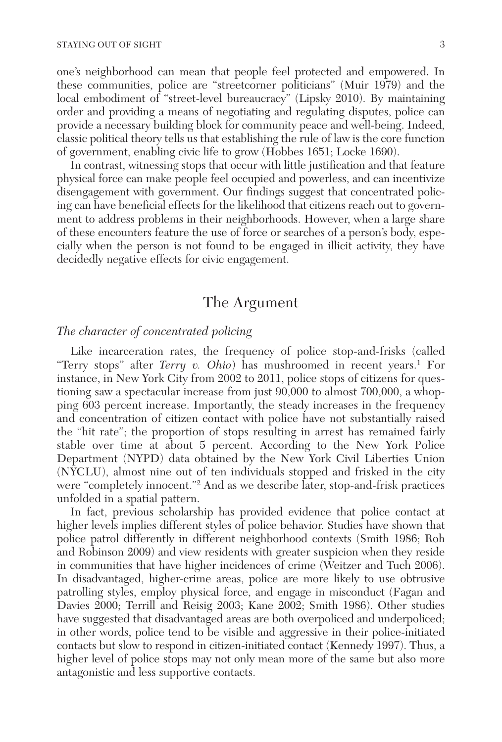one's neighborhood can mean that people feel protected and empowered. In these communities, police are "streetcorner politicians" (Muir 1979) and the local embodiment of "street-level bureaucracy" (Lipsky 2010). By maintaining order and providing a means of negotiating and regulating disputes, police can provide a necessary building block for community peace and well-being. Indeed, classic political theory tells us that establishing the rule of law is the core function of government, enabling civic life to grow (Hobbes 1651; Locke 1690).

In contrast, witnessing stops that occur with little justification and that feature physical force can make people feel occupied and powerless, and can incentivize disengagement with government. Our findings suggest that concentrated policing can have beneficial effects for the likelihood that citizens reach out to government to address problems in their neighborhoods. However, when a large share of these encounters feature the use of force or searches of a person's body, especially when the person is not found to be engaged in illicit activity, they have decidedly negative effects for civic engagement.

## The Argument

#### *The character of concentrated policing*

Like incarceration rates, the frequency of police stop-and-frisks (called "Terry stops" after *Terry v. Ohio*) has mushroomed in recent years.1 For instance, in New York City from 2002 to 2011, police stops of citizens for questioning saw a spectacular increase from just 90,000 to almost 700,000, a whopping 603 percent increase. Importantly, the steady increases in the frequency and concentration of citizen contact with police have not substantially raised the "hit rate"; the proportion of stops resulting in arrest has remained fairly stable over time at about 5 percent. According to the New York Police Department (NYPD) data obtained by the New York Civil Liberties Union (NYCLU), almost nine out of ten individuals stopped and frisked in the city were "completely innocent."2 And as we describe later, stop-and-frisk practices unfolded in a spatial pattern.

In fact, previous scholarship has provided evidence that police contact at higher levels implies different styles of police behavior. Studies have shown that police patrol differently in different neighborhood contexts (Smith 1986; Roh and Robinson 2009) and view residents with greater suspicion when they reside in communities that have higher incidences of crime (Weitzer and Tuch 2006). In disadvantaged, higher-crime areas, police are more likely to use obtrusive patrolling styles, employ physical force, and engage in misconduct (Fagan and Davies 2000; Terrill and Reisig 2003; Kane 2002; Smith 1986). Other studies have suggested that disadvantaged areas are both overpoliced and underpoliced; in other words, police tend to be visible and aggressive in their police-initiated contacts but slow to respond in citizen-initiated contact (Kennedy 1997). Thus, a higher level of police stops may not only mean more of the same but also more antagonistic and less supportive contacts.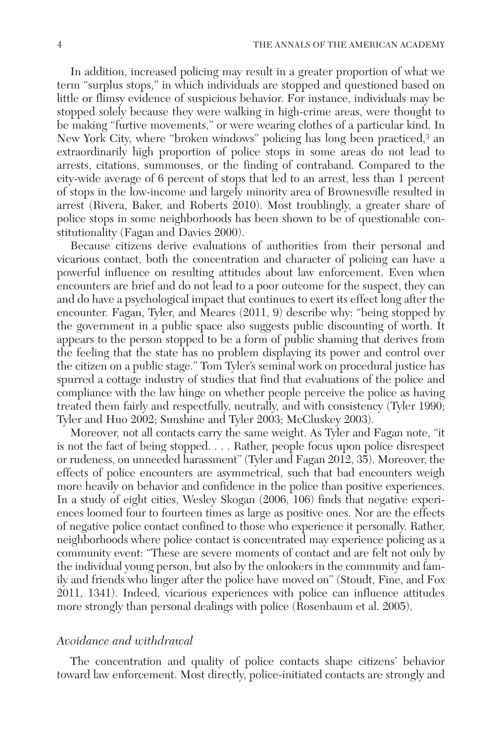In addition, increased policing may result in a greater proportion of what we term "surplus stops," in which individuals are stopped and questioned based on little or flimsy evidence of suspicious behavior. For instance, individuals may be stopped solely because they were walking in high-crime areas, were thought to be making "furtive movements," or were wearing clothes of a particular kind. In New York City, where "broken windows" policing has long been practiced,<sup>3</sup> an extraordinarily high proportion of police stops in some areas do not lead to arrests, citations, summonses, or the finding of contraband. Compared to the city-wide average of 6 percent of stops that led to an arrest, less than 1 percent of stops in the low-income and largely minority area of Brownesville resulted in arrest (Rivera, Baker, and Roberts 2010). Most troublingly, a greater share of police stops in some neighborhoods has been shown to be of questionable constitutionality (Fagan and Davies 2000).

Because citizens derive evaluations of authorities from their personal and vicarious contact, both the concentration and character of policing can have a powerful influence on resulting attitudes about law enforcement. Even when encounters are brief and do not lead to a poor outcome for the suspect, they can and do have a psychological impact that continues to exert its effect long after the encounter. Fagan, Tyler, and Meares (2011, 9) describe why: "being stopped by the government in a public space also suggests public discounting of worth. It appears to the person stopped to be a form of public shaming that derives from the feeling that the state has no problem displaying its power and control over the citizen on a public stage." Tom Tyler's seminal work on procedural justice has spurred a cottage industry of studies that find that evaluations of the police and compliance with the law hinge on whether people perceive the police as having treated them fairly and respectfully, neutrally, and with consistency (Tyler 1990; Tyler and Huo 2002; Sunshine and Tyler 2003; McCluskey 2003).

Moreover, not all contacts carry the same weight. As Tyler and Fagan note, "it is not the fact of being stopped. . . . Rather, people focus upon police disrespect or rudeness, on unneeded harassment" (Tyler and Fagan 2012, 35). Moreover, the effects of police encounters are asymmetrical, such that bad encounters weigh more heavily on behavior and confidence in the police than positive experiences. In a study of eight cities, Wesley Skogan (2006, 106) finds that negative experiences loomed four to fourteen times as large as positive ones. Nor are the effects of negative police contact confined to those who experience it personally. Rather, neighborhoods where police contact is concentrated may experience policing as a community event: "These are severe moments of contact and are felt not only by the individual young person, but also by the onlookers in the community and family and friends who linger after the police have moved on" (Stoudt, Fine, and Fox 2011, 1341). Indeed, vicarious experiences with police can influence attitudes more strongly than personal dealings with police (Rosenbaum et al. 2005).

#### *Avoidance and withdrawal*

The concentration and quality of police contacts shape citizens' behavior toward law enforcement. Most directly, police-initiated contacts are strongly and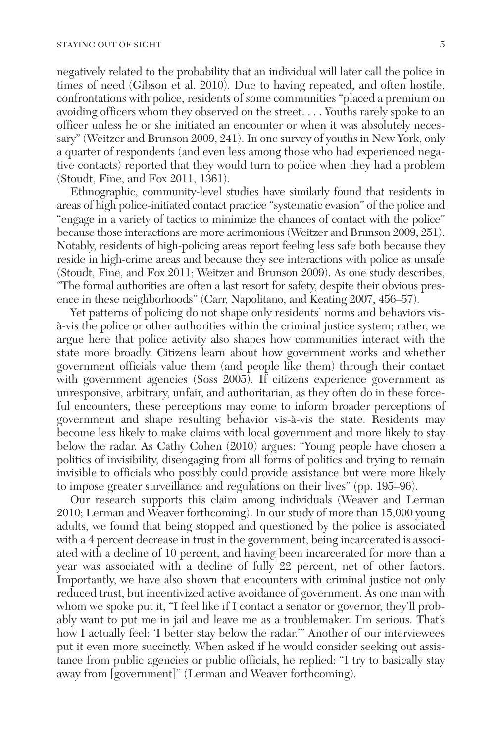negatively related to the probability that an individual will later call the police in times of need (Gibson et al. 2010). Due to having repeated, and often hostile, confrontations with police, residents of some communities "placed a premium on avoiding officers whom they observed on the street. . . . Youths rarely spoke to an officer unless he or she initiated an encounter or when it was absolutely necessary" (Weitzer and Brunson 2009, 241). In one survey of youths in New York, only a quarter of respondents (and even less among those who had experienced negative contacts) reported that they would turn to police when they had a problem (Stoudt, Fine, and Fox 2011, 1361).

Ethnographic, community-level studies have similarly found that residents in areas of high police-initiated contact practice "systematic evasion" of the police and "engage in a variety of tactics to minimize the chances of contact with the police" because those interactions are more acrimonious (Weitzer and Brunson 2009, 251). Notably, residents of high-policing areas report feeling less safe both because they reside in high-crime areas and because they see interactions with police as unsafe (Stoudt, Fine, and Fox 2011; Weitzer and Brunson 2009). As one study describes, "The formal authorities are often a last resort for safety, despite their obvious presence in these neighborhoods" (Carr, Napolitano, and Keating 2007, 456–57).

Yet patterns of policing do not shape only residents' norms and behaviors visà-vis the police or other authorities within the criminal justice system; rather, we argue here that police activity also shapes how communities interact with the state more broadly. Citizens learn about how government works and whether government officials value them (and people like them) through their contact with government agencies (Soss 2005). If citizens experience government as unresponsive, arbitrary, unfair, and authoritarian, as they often do in these forceful encounters, these perceptions may come to inform broader perceptions of government and shape resulting behavior vis-à-vis the state. Residents may become less likely to make claims with local government and more likely to stay below the radar. As Cathy Cohen (2010) argues: "Young people have chosen a politics of invisibility, disengaging from all forms of politics and trying to remain invisible to officials who possibly could provide assistance but were more likely to impose greater surveillance and regulations on their lives" (pp. 195–96).

Our research supports this claim among individuals (Weaver and Lerman 2010; Lerman and Weaver forthcoming). In our study of more than 15,000 young adults, we found that being stopped and questioned by the police is associated with a 4 percent decrease in trust in the government, being incarcerated is associated with a decline of 10 percent, and having been incarcerated for more than a year was associated with a decline of fully 22 percent, net of other factors. Importantly, we have also shown that encounters with criminal justice not only reduced trust, but incentivized active avoidance of government. As one man with whom we spoke put it, "I feel like if I contact a senator or governor, they'll probably want to put me in jail and leave me as a troublemaker. I'm serious. That's how I actually feel: 'I better stay below the radar.'" Another of our interviewees put it even more succinctly. When asked if he would consider seeking out assistance from public agencies or public officials, he replied: "I try to basically stay away from [government]" (Lerman and Weaver forthcoming).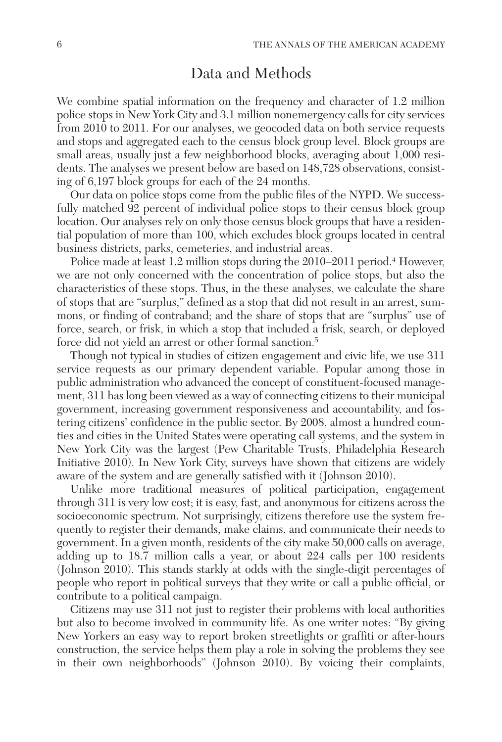# Data and Methods

We combine spatial information on the frequency and character of 1.2 million police stops in New York City and 3.1 million nonemergency calls for city services from 2010 to 2011. For our analyses, we geocoded data on both service requests and stops and aggregated each to the census block group level. Block groups are small areas, usually just a few neighborhood blocks, averaging about 1,000 residents. The analyses we present below are based on 148,728 observations, consisting of 6,197 block groups for each of the 24 months.

Our data on police stops come from the public files of the NYPD. We successfully matched 92 percent of individual police stops to their census block group location. Our analyses rely on only those census block groups that have a residential population of more than 100, which excludes block groups located in central business districts, parks, cemeteries, and industrial areas.

Police made at least 1.2 million stops during the 2010–2011 period.<sup>4</sup> However, we are not only concerned with the concentration of police stops, but also the characteristics of these stops. Thus, in the these analyses, we calculate the share of stops that are "surplus," defined as a stop that did not result in an arrest, summons, or finding of contraband; and the share of stops that are "surplus" use of force, search, or frisk, in which a stop that included a frisk, search, or deployed force did not yield an arrest or other formal sanction.<sup>5</sup>

Though not typical in studies of citizen engagement and civic life, we use 311 service requests as our primary dependent variable. Popular among those in public administration who advanced the concept of constituent-focused management, 311 has long been viewed as a way of connecting citizens to their municipal government, increasing government responsiveness and accountability, and fostering citizens' confidence in the public sector. By 2008, almost a hundred counties and cities in the United States were operating call systems, and the system in New York City was the largest (Pew Charitable Trusts, Philadelphia Research Initiative 2010). In New York City, surveys have shown that citizens are widely aware of the system and are generally satisfied with it (Johnson 2010).

Unlike more traditional measures of political participation, engagement through 311 is very low cost; it is easy, fast, and anonymous for citizens across the socioeconomic spectrum. Not surprisingly, citizens therefore use the system frequently to register their demands, make claims, and communicate their needs to government. In a given month, residents of the city make 50,000 calls on average, adding up to 18.7 million calls a year, or about 224 calls per 100 residents (Johnson 2010). This stands starkly at odds with the single-digit percentages of people who report in political surveys that they write or call a public official, or contribute to a political campaign.

Citizens may use 311 not just to register their problems with local authorities but also to become involved in community life. As one writer notes: "By giving New Yorkers an easy way to report broken streetlights or graffiti or after-hours construction, the service helps them play a role in solving the problems they see in their own neighborhoods" (Johnson 2010). By voicing their complaints,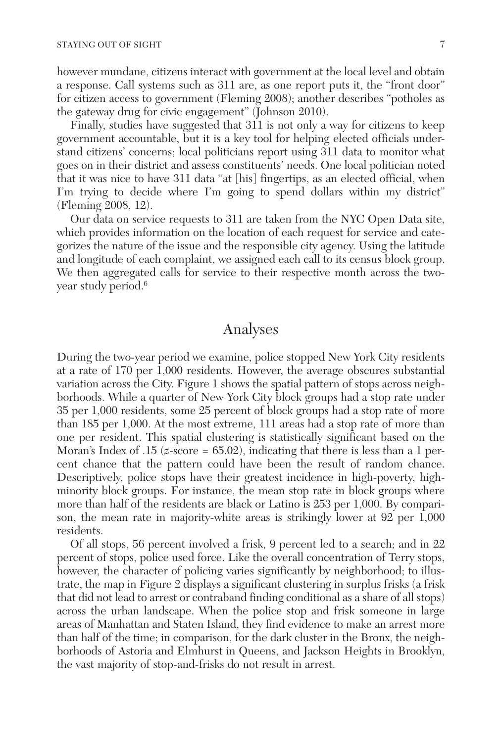however mundane, citizens interact with government at the local level and obtain a response. Call systems such as 311 are, as one report puts it, the "front door" for citizen access to government (Fleming 2008); another describes "potholes as the gateway drug for civic engagement" (Johnson 2010).

Finally, studies have suggested that 311 is not only a way for citizens to keep government accountable, but it is a key tool for helping elected officials understand citizens' concerns; local politicians report using 311 data to monitor what goes on in their district and assess constituents' needs. One local politician noted that it was nice to have 311 data "at [his] fingertips, as an elected official, when I'm trying to decide where I'm going to spend dollars within my district" (Fleming 2008, 12).

Our data on service requests to 311 are taken from the NYC Open Data site, which provides information on the location of each request for service and categorizes the nature of the issue and the responsible city agency. Using the latitude and longitude of each complaint, we assigned each call to its census block group. We then aggregated calls for service to their respective month across the twoyear study period.6

## Analyses

During the two-year period we examine, police stopped New York City residents at a rate of 170 per 1,000 residents. However, the average obscures substantial variation across the City. Figure 1 shows the spatial pattern of stops across neighborhoods. While a quarter of New York City block groups had a stop rate under 35 per 1,000 residents, some 25 percent of block groups had a stop rate of more than 185 per 1,000. At the most extreme, 111 areas had a stop rate of more than one per resident. This spatial clustering is statistically significant based on the Moran's Index of .15 (*z*-score = 65.02), indicating that there is less than a 1 percent chance that the pattern could have been the result of random chance. Descriptively, police stops have their greatest incidence in high-poverty, highminority block groups. For instance, the mean stop rate in block groups where more than half of the residents are black or Latino is 253 per 1,000. By comparison, the mean rate in majority-white areas is strikingly lower at 92 per 1,000 residents.

Of all stops, 56 percent involved a frisk, 9 percent led to a search; and in 22 percent of stops, police used force. Like the overall concentration of Terry stops, however, the character of policing varies significantly by neighborhood; to illustrate, the map in Figure 2 displays a significant clustering in surplus frisks (a frisk that did not lead to arrest or contraband finding conditional as a share of all stops) across the urban landscape. When the police stop and frisk someone in large areas of Manhattan and Staten Island, they find evidence to make an arrest more than half of the time; in comparison, for the dark cluster in the Bronx, the neighborhoods of Astoria and Elmhurst in Queens, and Jackson Heights in Brooklyn, the vast majority of stop-and-frisks do not result in arrest.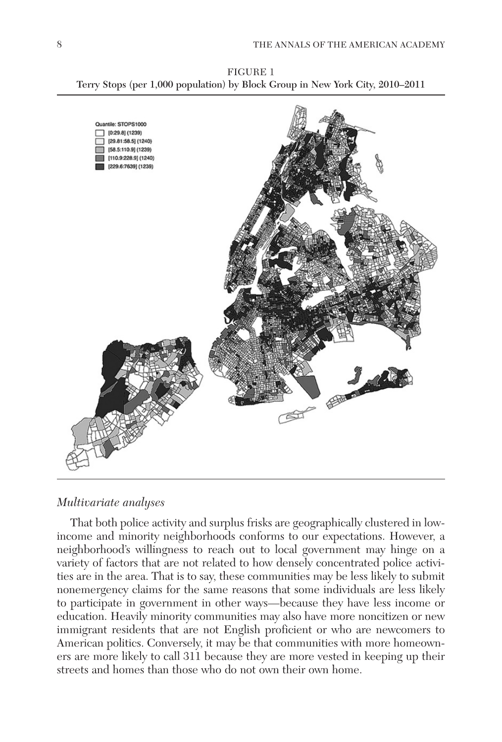FIGURE 1 Terry Stops (per 1,000 population) by Block Group in New York City, 2010–2011



### *Multivariate analyses*

That both police activity and surplus frisks are geographically clustered in lowincome and minority neighborhoods conforms to our expectations. However, a neighborhood's willingness to reach out to local government may hinge on a variety of factors that are not related to how densely concentrated police activities are in the area. That is to say, these communities may be less likely to submit nonemergency claims for the same reasons that some individuals are less likely to participate in government in other ways—because they have less income or education. Heavily minority communities may also have more noncitizen or new immigrant residents that are not English proficient or who are newcomers to American politics. Conversely, it may be that communities with more homeowners are more likely to call 311 because they are more vested in keeping up their streets and homes than those who do not own their own home.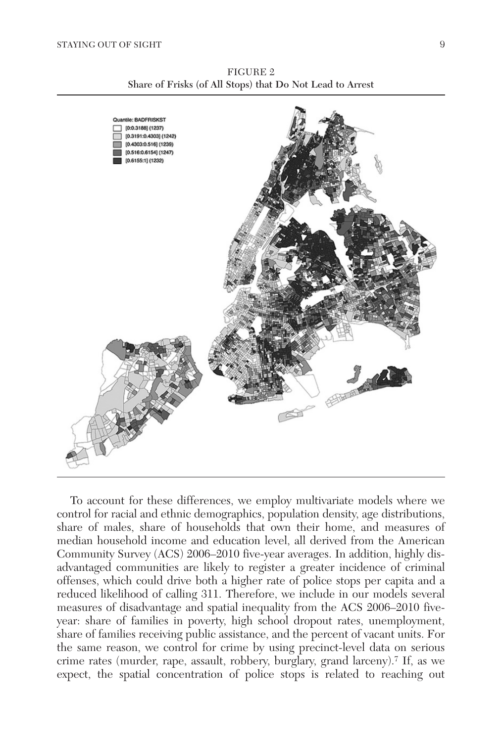

To account for these differences, we employ multivariate models where we control for racial and ethnic demographics, population density, age distributions, share of males, share of households that own their home, and measures of median household income and education level, all derived from the American Community Survey (ACS) 2006–2010 five-year averages. In addition, highly disadvantaged communities are likely to register a greater incidence of criminal offenses, which could drive both a higher rate of police stops per capita and a reduced likelihood of calling 311. Therefore, we include in our models several measures of disadvantage and spatial inequality from the ACS 2006–2010 fiveyear: share of families in poverty, high school dropout rates, unemployment, share of families receiving public assistance, and the percent of vacant units. For the same reason, we control for crime by using precinct-level data on serious crime rates (murder, rape, assault, robbery, burglary, grand larceny).7 If, as we expect, the spatial concentration of police stops is related to reaching out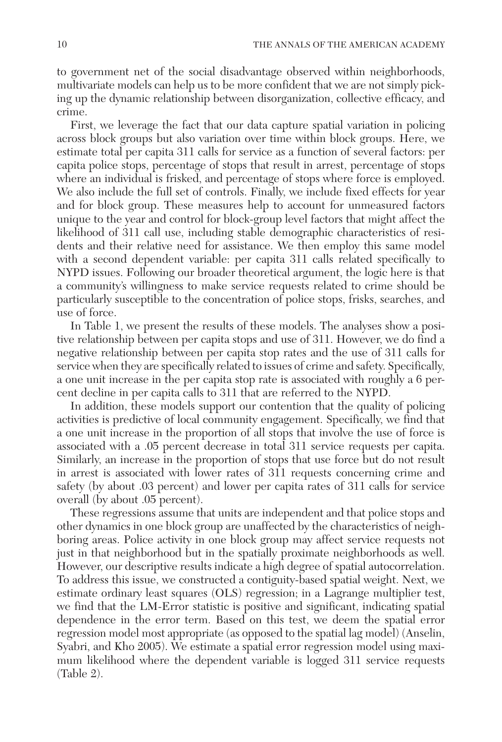to government net of the social disadvantage observed within neighborhoods, multivariate models can help us to be more confident that we are not simply picking up the dynamic relationship between disorganization, collective efficacy, and crime.

First, we leverage the fact that our data capture spatial variation in policing across block groups but also variation over time within block groups. Here, we estimate total per capita 311 calls for service as a function of several factors: per capita police stops, percentage of stops that result in arrest, percentage of stops where an individual is frisked, and percentage of stops where force is employed. We also include the full set of controls. Finally, we include fixed effects for year and for block group. These measures help to account for unmeasured factors unique to the year and control for block-group level factors that might affect the likelihood of 311 call use, including stable demographic characteristics of residents and their relative need for assistance. We then employ this same model with a second dependent variable: per capita 311 calls related specifically to NYPD issues. Following our broader theoretical argument, the logic here is that a community's willingness to make service requests related to crime should be particularly susceptible to the concentration of police stops, frisks, searches, and use of force.

In Table 1, we present the results of these models. The analyses show a positive relationship between per capita stops and use of 311. However, we do find a negative relationship between per capita stop rates and the use of 311 calls for service when they are specifically related to issues of crime and safety. Specifically, a one unit increase in the per capita stop rate is associated with roughly a 6 percent decline in per capita calls to 311 that are referred to the NYPD.

In addition, these models support our contention that the quality of policing activities is predictive of local community engagement. Specifically, we find that a one unit increase in the proportion of all stops that involve the use of force is associated with a .05 percent decrease in total 311 service requests per capita. Similarly, an increase in the proportion of stops that use force but do not result in arrest is associated with lower rates of 311 requests concerning crime and safety (by about .03 percent) and lower per capita rates of 311 calls for service overall (by about .05 percent).

These regressions assume that units are independent and that police stops and other dynamics in one block group are unaffected by the characteristics of neighboring areas. Police activity in one block group may affect service requests not just in that neighborhood but in the spatially proximate neighborhoods as well. However, our descriptive results indicate a high degree of spatial autocorrelation. To address this issue, we constructed a contiguity-based spatial weight. Next, we estimate ordinary least squares (OLS) regression; in a Lagrange multiplier test, we find that the LM-Error statistic is positive and significant, indicating spatial dependence in the error term. Based on this test, we deem the spatial error regression model most appropriate (as opposed to the spatial lag model) (Anselin, Syabri, and Kho 2005). We estimate a spatial error regression model using maximum likelihood where the dependent variable is logged 311 service requests (Table 2).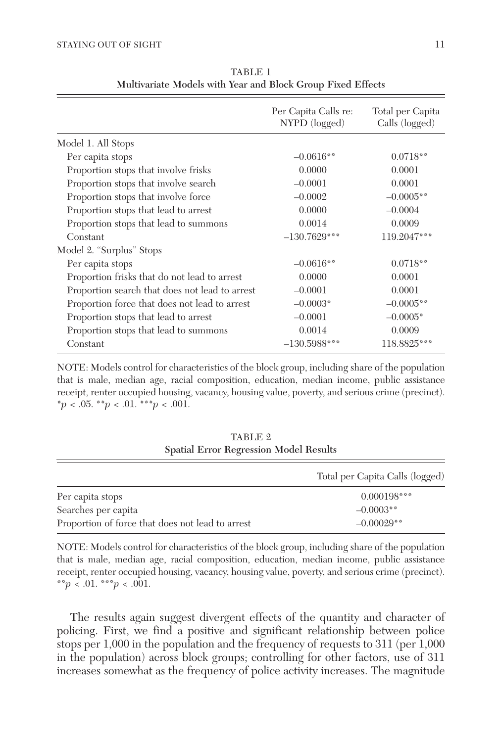|                                                | Per Capita Calls re: | Total per Capita |
|------------------------------------------------|----------------------|------------------|
|                                                | NYPD (logged)        | Calls (logged)   |
| Model 1. All Stops                             |                      |                  |
| Per capita stops                               | $-0.0616**$          | $0.0718**$       |
| Proportion stops that involve frisks           | 0.0000               | 0.0001           |
| Proportion stops that involve search           | $-0.0001$            | 0.0001           |
| Proportion stops that involve force            | $-0.0002$            | $-0.0005$ **     |
| Proportion stops that lead to arrest           | 0.0000               | $-0.0004$        |
| Proportion stops that lead to summons          | 0.0014               | 0.0009           |
| Constant                                       | $-130.7629***$       | $119.2047***$    |
| Model 2. "Surplus" Stops                       |                      |                  |
| Per capita stops                               | $-0.0616**$          | $0.0718**$       |
| Proportion frisks that do not lead to arrest   | 0.0000               | 0.0001           |
| Proportion search that does not lead to arrest | $-0.0001$            | 0.0001           |
| Proportion force that does not lead to arrest  | $-0.0003*$           | $-0.0005$ **     |
| Proportion stops that lead to arrest           | $-0.0001$            | $-0.0005*$       |
| Proportion stops that lead to summons          | 0.0014               | 0.0009           |
| Constant                                       | $-130.5988***$       | $118.8825***$    |
|                                                |                      |                  |

TABLE 1 Multivariate Models with Year and Block Group Fixed Effects

NOTE: Models control for characteristics of the block group, including share of the population that is male, median age, racial composition, education, median income, public assistance receipt, renter occupied housing, vacancy, housing value, poverty, and serious crime (precinct).  ${}^*p$  < .05.  ${}^*p$  < .01.  ${}^*{}^*p$  < .001.

TABLE 2 Spatial Error Regression Model Results

|                                                  | Total per Capita Calls (logged) |
|--------------------------------------------------|---------------------------------|
| Per capita stops                                 | $0.000198$ <sup>***</sup>       |
| Searches per capita                              | $-0.0003$ <sup>oo</sup>         |
| Proportion of force that does not lead to arrest | $-0.00029$ °°                   |

NOTE: Models control for characteristics of the block group, including share of the population that is male, median age, racial composition, education, median income, public assistance receipt, renter occupied housing, vacancy, housing value, poverty, and serious crime (precinct).  $p^* \circ p < .01.$  \*\*\**p* < .001.

The results again suggest divergent effects of the quantity and character of policing. First, we find a positive and significant relationship between police stops per 1,000 in the population and the frequency of requests to 311 (per 1,000 in the population) across block groups; controlling for other factors, use of 311 increases somewhat as the frequency of police activity increases. The magnitude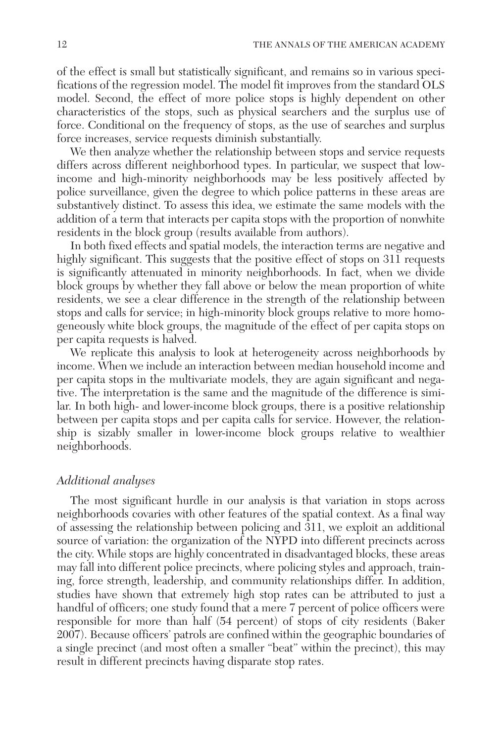of the effect is small but statistically significant, and remains so in various specifications of the regression model. The model fit improves from the standard OLS model. Second, the effect of more police stops is highly dependent on other characteristics of the stops, such as physical searchers and the surplus use of force. Conditional on the frequency of stops, as the use of searches and surplus force increases, service requests diminish substantially.

We then analyze whether the relationship between stops and service requests differs across different neighborhood types. In particular, we suspect that lowincome and high-minority neighborhoods may be less positively affected by police surveillance, given the degree to which police patterns in these areas are substantively distinct. To assess this idea, we estimate the same models with the addition of a term that interacts per capita stops with the proportion of nonwhite residents in the block group (results available from authors).

In both fixed effects and spatial models, the interaction terms are negative and highly significant. This suggests that the positive effect of stops on 311 requests is significantly attenuated in minority neighborhoods. In fact, when we divide block groups by whether they fall above or below the mean proportion of white residents, we see a clear difference in the strength of the relationship between stops and calls for service; in high-minority block groups relative to more homogeneously white block groups, the magnitude of the effect of per capita stops on per capita requests is halved.

We replicate this analysis to look at heterogeneity across neighborhoods by income. When we include an interaction between median household income and per capita stops in the multivariate models, they are again significant and negative. The interpretation is the same and the magnitude of the difference is similar. In both high- and lower-income block groups, there is a positive relationship between per capita stops and per capita calls for service. However, the relationship is sizably smaller in lower-income block groups relative to wealthier neighborhoods.

#### *Additional analyses*

The most significant hurdle in our analysis is that variation in stops across neighborhoods covaries with other features of the spatial context. As a final way of assessing the relationship between policing and 311, we exploit an additional source of variation: the organization of the NYPD into different precincts across the city. While stops are highly concentrated in disadvantaged blocks, these areas may fall into different police precincts, where policing styles and approach, training, force strength, leadership, and community relationships differ. In addition, studies have shown that extremely high stop rates can be attributed to just a handful of officers; one study found that a mere 7 percent of police officers were responsible for more than half (54 percent) of stops of city residents (Baker 2007). Because officers' patrols are confined within the geographic boundaries of a single precinct (and most often a smaller "beat" within the precinct), this may result in different precincts having disparate stop rates.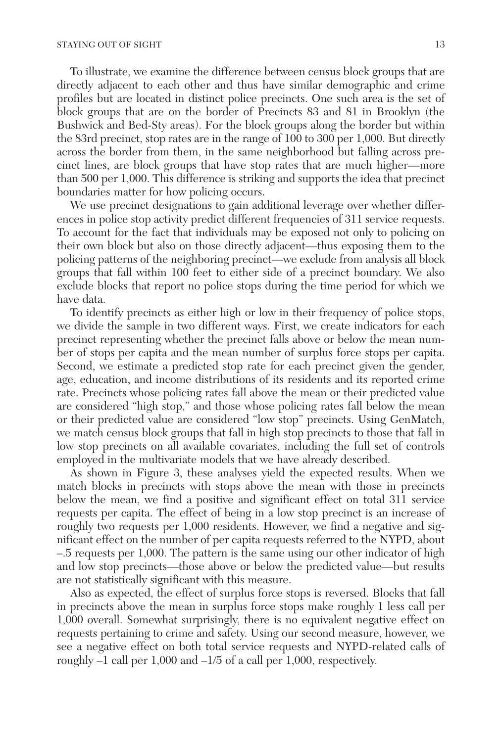To illustrate, we examine the difference between census block groups that are directly adjacent to each other and thus have similar demographic and crime profiles but are located in distinct police precincts. One such area is the set of block groups that are on the border of Precincts 83 and 81 in Brooklyn (the Bushwick and Bed-Sty areas). For the block groups along the border but within the 83rd precinct, stop rates are in the range of 100 to 300 per 1,000. But directly across the border from them, in the same neighborhood but falling across precinct lines, are block groups that have stop rates that are much higher—more than 500 per 1,000. This difference is striking and supports the idea that precinct boundaries matter for how policing occurs.

We use precinct designations to gain additional leverage over whether differences in police stop activity predict different frequencies of 311 service requests. To account for the fact that individuals may be exposed not only to policing on their own block but also on those directly adjacent—thus exposing them to the policing patterns of the neighboring precinct—we exclude from analysis all block groups that fall within 100 feet to either side of a precinct boundary. We also exclude blocks that report no police stops during the time period for which we have data.

To identify precincts as either high or low in their frequency of police stops, we divide the sample in two different ways. First, we create indicators for each precinct representing whether the precinct falls above or below the mean number of stops per capita and the mean number of surplus force stops per capita. Second, we estimate a predicted stop rate for each precinct given the gender, age, education, and income distributions of its residents and its reported crime rate. Precincts whose policing rates fall above the mean or their predicted value are considered "high stop," and those whose policing rates fall below the mean or their predicted value are considered "low stop" precincts. Using GenMatch, we match census block groups that fall in high stop precincts to those that fall in low stop precincts on all available covariates, including the full set of controls employed in the multivariate models that we have already described.

As shown in Figure 3, these analyses yield the expected results. When we match blocks in precincts with stops above the mean with those in precincts below the mean, we find a positive and significant effect on total 311 service requests per capita. The effect of being in a low stop precinct is an increase of roughly two requests per 1,000 residents. However, we find a negative and significant effect on the number of per capita requests referred to the NYPD, about –.5 requests per 1,000. The pattern is the same using our other indicator of high and low stop precincts—those above or below the predicted value—but results are not statistically significant with this measure.

Also as expected, the effect of surplus force stops is reversed. Blocks that fall in precincts above the mean in surplus force stops make roughly 1 less call per 1,000 overall. Somewhat surprisingly, there is no equivalent negative effect on requests pertaining to crime and safety. Using our second measure, however, we see a negative effect on both total service requests and NYPD-related calls of roughly –1 call per 1,000 and –1/5 of a call per 1,000, respectively.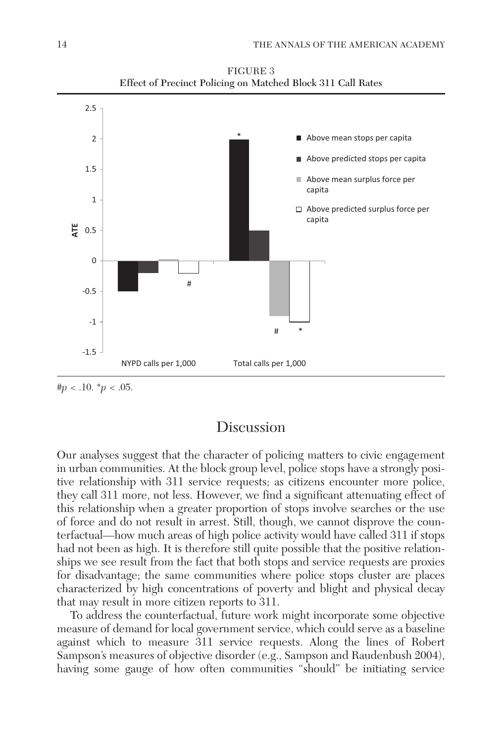

FIGURE 3 Effect of Precinct Policing on Matched Block 311 Call Rates

 $\#p$  < .10.  $^{\circ}p$  < .05.

### Discussion

Our analyses suggest that the character of policing matters to civic engagement in urban communities. At the block group level, police stops have a strongly positive relationship with 311 service requests; as citizens encounter more police, they call 311 more, not less. However, we find a significant attenuating effect of this relationship when a greater proportion of stops involve searches or the use of force and do not result in arrest. Still, though, we cannot disprove the counterfactual—how much areas of high police activity would have called 311 if stops had not been as high. It is therefore still quite possible that the positive relationships we see result from the fact that both stops and service requests are proxies for disadvantage; the same communities where police stops cluster are places characterized by high concentrations of poverty and blight and physical decay that may result in more citizen reports to 311.

To address the counterfactual, future work might incorporate some objective measure of demand for local government service, which could serve as a baseline against which to measure 311 service requests. Along the lines of Robert Sampson's measures of objective disorder (e.g., Sampson and Raudenbush 2004), having some gauge of how often communities "should" be initiating service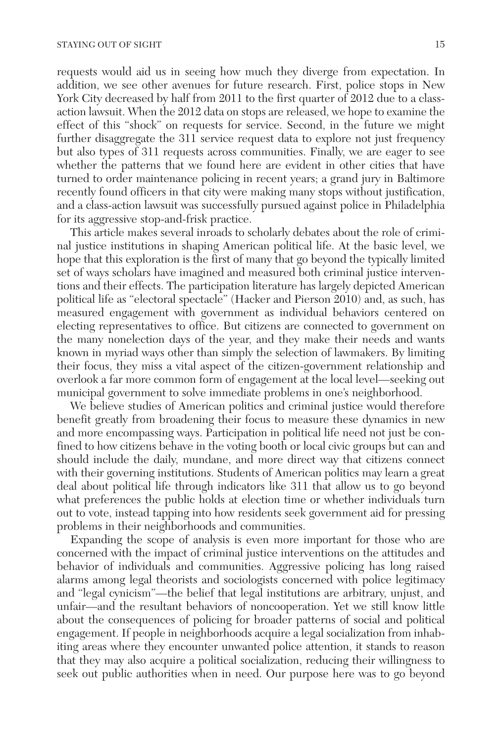requests would aid us in seeing how much they diverge from expectation. In addition, we see other avenues for future research. First, police stops in New York City decreased by half from 2011 to the first quarter of 2012 due to a classaction lawsuit. When the 2012 data on stops are released, we hope to examine the effect of this "shock" on requests for service. Second, in the future we might further disaggregate the 311 service request data to explore not just frequency but also types of 311 requests across communities. Finally, we are eager to see whether the patterns that we found here are evident in other cities that have turned to order maintenance policing in recent years; a grand jury in Baltimore recently found officers in that city were making many stops without justification, and a class-action lawsuit was successfully pursued against police in Philadelphia for its aggressive stop-and-frisk practice.

This article makes several inroads to scholarly debates about the role of criminal justice institutions in shaping American political life. At the basic level, we hope that this exploration is the first of many that go beyond the typically limited set of ways scholars have imagined and measured both criminal justice interventions and their effects. The participation literature has largely depicted American political life as "electoral spectacle" (Hacker and Pierson 2010) and, as such, has measured engagement with government as individual behaviors centered on electing representatives to office. But citizens are connected to government on the many nonelection days of the year, and they make their needs and wants known in myriad ways other than simply the selection of lawmakers. By limiting their focus, they miss a vital aspect of the citizen-government relationship and overlook a far more common form of engagement at the local level—seeking out municipal government to solve immediate problems in one's neighborhood.

We believe studies of American politics and criminal justice would therefore benefit greatly from broadening their focus to measure these dynamics in new and more encompassing ways. Participation in political life need not just be confined to how citizens behave in the voting booth or local civic groups but can and should include the daily, mundane, and more direct way that citizens connect with their governing institutions. Students of American politics may learn a great deal about political life through indicators like 311 that allow us to go beyond what preferences the public holds at election time or whether individuals turn out to vote, instead tapping into how residents seek government aid for pressing problems in their neighborhoods and communities.

Expanding the scope of analysis is even more important for those who are concerned with the impact of criminal justice interventions on the attitudes and behavior of individuals and communities. Aggressive policing has long raised alarms among legal theorists and sociologists concerned with police legitimacy and "legal cynicism"—the belief that legal institutions are arbitrary, unjust, and unfair—and the resultant behaviors of noncooperation. Yet we still know little about the consequences of policing for broader patterns of social and political engagement. If people in neighborhoods acquire a legal socialization from inhabiting areas where they encounter unwanted police attention, it stands to reason that they may also acquire a political socialization, reducing their willingness to seek out public authorities when in need. Our purpose here was to go beyond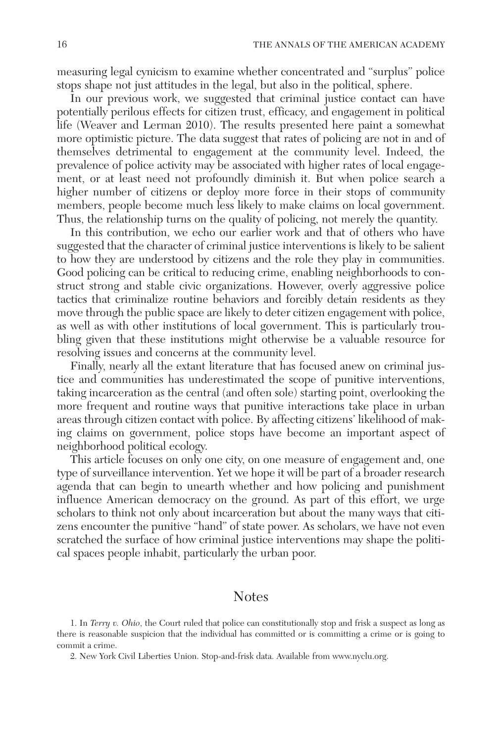measuring legal cynicism to examine whether concentrated and "surplus" police stops shape not just attitudes in the legal, but also in the political, sphere.

In our previous work, we suggested that criminal justice contact can have potentially perilous effects for citizen trust, efficacy, and engagement in political life (Weaver and Lerman 2010). The results presented here paint a somewhat more optimistic picture. The data suggest that rates of policing are not in and of themselves detrimental to engagement at the community level. Indeed, the prevalence of police activity may be associated with higher rates of local engagement, or at least need not profoundly diminish it. But when police search a higher number of citizens or deploy more force in their stops of community members, people become much less likely to make claims on local government. Thus, the relationship turns on the quality of policing, not merely the quantity.

In this contribution, we echo our earlier work and that of others who have suggested that the character of criminal justice interventions is likely to be salient to how they are understood by citizens and the role they play in communities. Good policing can be critical to reducing crime, enabling neighborhoods to construct strong and stable civic organizations. However, overly aggressive police tactics that criminalize routine behaviors and forcibly detain residents as they move through the public space are likely to deter citizen engagement with police, as well as with other institutions of local government. This is particularly troubling given that these institutions might otherwise be a valuable resource for resolving issues and concerns at the community level.

Finally, nearly all the extant literature that has focused anew on criminal justice and communities has underestimated the scope of punitive interventions, taking incarceration as the central (and often sole) starting point, overlooking the more frequent and routine ways that punitive interactions take place in urban areas through citizen contact with police. By affecting citizens' likelihood of making claims on government, police stops have become an important aspect of neighborhood political ecology.

This article focuses on only one city, on one measure of engagement and, one type of surveillance intervention. Yet we hope it will be part of a broader research agenda that can begin to unearth whether and how policing and punishment influence American democracy on the ground. As part of this effort, we urge scholars to think not only about incarceration but about the many ways that citizens encounter the punitive "hand" of state power. As scholars, we have not even scratched the surface of how criminal justice interventions may shape the political spaces people inhabit, particularly the urban poor.

## Notes

1. In *Terry v. Ohio*, the Court ruled that police can constitutionally stop and frisk a suspect as long as there is reasonable suspicion that the individual has committed or is committing a crime or is going to commit a crime.

2. New York Civil Liberties Union. Stop-and-frisk data. Available from www.nyclu.org.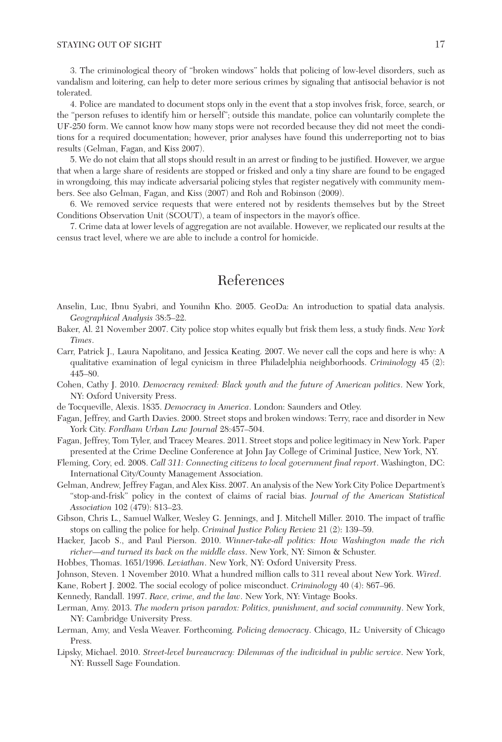3. The criminological theory of "broken windows" holds that policing of low-level disorders, such as vandalism and loitering, can help to deter more serious crimes by signaling that antisocial behavior is not tolerated.

4. Police are mandated to document stops only in the event that a stop involves frisk, force, search, or the "person refuses to identify him or herself"; outside this mandate, police can voluntarily complete the UF-250 form. We cannot know how many stops were not recorded because they did not meet the conditions for a required documentation; however, prior analyses have found this underreporting not to bias results (Gelman, Fagan, and Kiss 2007).

5. We do not claim that all stops should result in an arrest or finding to be justified. However, we argue that when a large share of residents are stopped or frisked and only a tiny share are found to be engaged in wrongdoing, this may indicate adversarial policing styles that register negatively with community members. See also Gelman, Fagan, and Kiss (2007) and Roh and Robinson (2009).

6. We removed service requests that were entered not by residents themselves but by the Street Conditions Observation Unit (SCOUT), a team of inspectors in the mayor's office.

7. Crime data at lower levels of aggregation are not available. However, we replicated our results at the census tract level, where we are able to include a control for homicide.

# References

- Anselin, Luc, Ibnu Syabri, and Younihn Kho. 2005. GeoDa: An introduction to spatial data analysis. *Geographical Analysis* 38:5–22.
- Baker, Al. 21 November 2007. City police stop whites equally but frisk them less, a study finds. *New York Times*.
- Carr, Patrick J., Laura Napolitano, and Jessica Keating. 2007. We never call the cops and here is why: A qualitative examination of legal cynicism in three Philadelphia neighborhoods. *Criminology* 45 (2): 445–80.
- Cohen, Cathy J. 2010. *Democracy remixed: Black youth and the future of American politics*. New York, NY: Oxford University Press.
- de Tocqueville, Alexis. 1835. *Democracy in America*. London: Saunders and Otley.
- Fagan, Jeffrey, and Garth Davies. 2000. Street stops and broken windows: Terry, race and disorder in New York City. *Fordham Urban Law Journal* 28:457–504.
- Fagan, Jeffrey, Tom Tyler, and Tracey Meares. 2011. Street stops and police legitimacy in New York. Paper presented at the Crime Decline Conference at John Jay College of Criminal Justice, New York, NY.
- Fleming, Cory, ed. 2008. *Call 311: Connecting citizens to local government final report*. Washington, DC: International City/County Management Association.
- Gelman, Andrew, Jeffrey Fagan, and Alex Kiss. 2007. An analysis of the New York City Police Department's "stop-and-frisk" policy in the context of claims of racial bias. *Journal of the American Statistical Association* 102 (479): 813–23.
- Gibson, Chris L., Samuel Walker, Wesley G. Jennings, and J. Mitchell Miller. 2010. The impact of traffic stops on calling the police for help. *Criminal Justice Policy Review* 21 (2): 139–59.
- Hacker, Jacob S., and Paul Pierson. 2010. *Winner-take-all politics: How Washington made the rich richer—and turned its back on the middle class*. New York, NY: Simon & Schuster.
- Hobbes, Thomas. 1651/1996. *Leviathan*. New York, NY: Oxford University Press.
- Johnson, Steven. 1 November 2010. What a hundred million calls to 311 reveal about New York. *Wired*.

Kane, Robert J. 2002. The social ecology of police misconduct. *Criminology* 40 (4): 867–96.

- Kennedy, Randall. 1997. *Race, crime, and the law*. New York, NY: Vintage Books.
- Lerman, Amy. 2013. *The modern prison paradox: Politics, punishment, and social community*. New York, NY: Cambridge University Press.
- Lerman, Amy, and Vesla Weaver. Forthcoming. *Policing democracy*. Chicago, IL: University of Chicago Press.
- Lipsky, Michael. 2010. *Street-level bureaucracy: Dilemmas of the individual in public service*. New York, NY: Russell Sage Foundation.